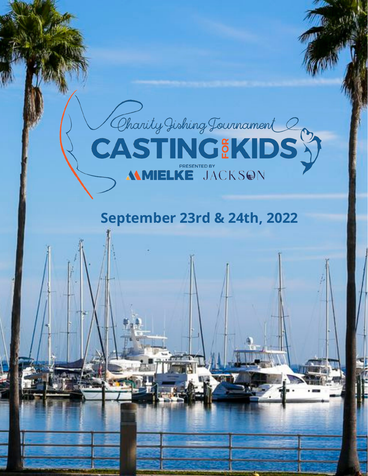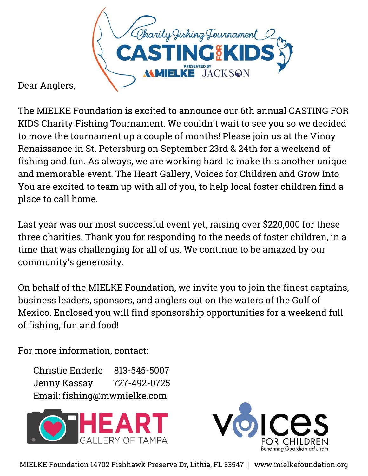

Dear Anglers,

The MIELKE Foundation is excited to announce our 6th annual CASTING FOR KIDS Charity Fishing Tournament. We couldn't wait to see you so we decided to move the tournament up a couple of months! Please join us at the Vinoy Renaissance in St. Petersburg on September 23rd & 24th for a weekend of fishing and fun. As always, we are working hard to make this another unique and memorable event. The Heart Gallery, Voices for Children and Grow Into You are excited to team up with all of you, to help local foster children find a place to call home.

Last year was our most successful event yet, raising over \$220,000 for these three charities. Thank you for responding to the needs of foster children, in a time that was challenging for all of us. We continue to be amazed by our community's generosity.

On behalf of the MIELKE Foundation, we invite you to join the finest captains, business leaders, sponsors, and anglers out on the waters of the Gulf of Mexico. Enclosed you will find sponsorship opportunities for a weekend full of fishing, fun and food!

For more information, contact:

Christie Enderle 813-545-5007 Jenny Kassay 727-492-0725 Email: fishing@mwmielke.com





MIELKE Foundation 14702 Fishhawk Preserve Dr, Lithia, FL 33547 | www.mielkefoundation.org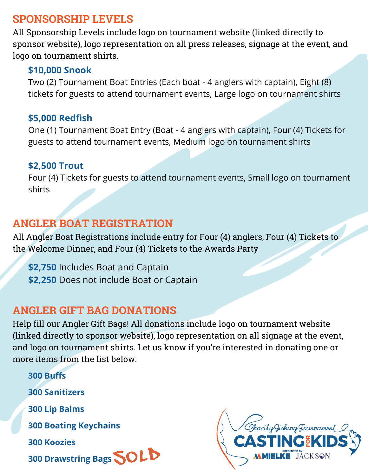## **SPONSORSHIP LEVELS**

All Sponsorship Levels include logo on tournament website (linked directly to sponsor website), logo representation on all press releases, signage at the event, and logo on tournament shirts.

#### **\$10,000 Snook**

Two (2) Tournament Boat Entries (Each boat - 4 anglers with captain), Eight (8) tickets for guests to attend tournament events, Large logo on tournament shirts

#### **\$5,000 Redfish**

One (1) Tournament Boat Entry (Boat - 4 anglers with captain), Four (4) Tickets for guests to attend tournament events, Medium logo on tournament shirts

#### **\$2,500 Trout**

Four (4) Tickets for guests to attend tournament events, Small logo on tournament shirts

# **ANGLER BOAT REGISTRATION**

All Angler Boat Registrations include entry for Four (4) anglers, Four (4) Tickets to the Welcome Dinner, and Four (4) Tickets to the Awards Party

**\$2,750** Includes Boat and Captain **\$2,250** Does not include Boat or Captain

# **ANGLER GIFT BAG DONATIONS**

Help fill our Angler Gift Bags! All donations include logo on tournament website (linked directly to sponsor website), logo representation on all signage at the event, and logo on tournament shirts. Let us know if you're interested in donating one or more items from the list below.

**300 Buffs 300 Sanitizers 300 Lip Balms 300 Boating Keychains 300 Koozies 300 Koozies<br>300 Drawstring Bags SOLD** 

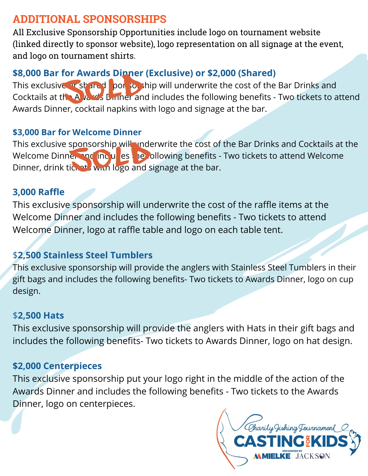# **ADDITIONAL SPONSORSHIPS**

All Exclusive Sponsorship Opportunities include logo on tournament website (linked directly to sponsor website), logo representation on all signage at the event, and logo on tournament shirts.

### **\$8,000 Bar for Awards Dinner (Exclusive) or \$2,000 (Shared)**

This exclusive ar shared sponsorship will underwrite the cost of the Bar Drinks and Cocktails at the Awards Dinner and includes the following benefits - Two tickets to attend Awards Dinner, cocktail napkins with logo and signage at the bar. **For Awards Dinner**<br>Entr<mark>shared: por 30.</mark><br>Son Limner and

#### **\$3,000 Bar for Welcome Dinner**

This exclusive sponsorship will underwrite the cost of the Bar Drinks and Cocktails at the Welcome Dinner and includes the following benefits - Two tickets to attend Welcome Dinner, drink tickets with logo and signage at the bar. sponsorship will unde<br>
ich at with logo and s

#### **3,000 Raffle**

This exclusive sponsorship will underwrite the cost of the raffle items at the Welcome Dinner and includes the following benefits - Two tickets to attend Welcome Dinner, logo at raffle table and logo on each table tent.

### \$**2,500 Stainless Steel Tumblers**

This exclusive sponsorship will provide the anglers with Stainless Steel Tumblers in their gift bags and includes the following benefits- Two tickets to Awards Dinner, logo on cup design.

#### \$**2,500 Hats**

This exclusive sponsorship will provide the anglers with Hats in their gift bags and includes the following benefits- Two tickets to Awards Dinner, logo on hat design.

## **\$2,000 Centerpieces**

This exclusive sponsorship put your logo right in the middle of the action of the Awards Dinner and includes the following benefits - Two tickets to the Awards Dinner, logo on centerpieces.

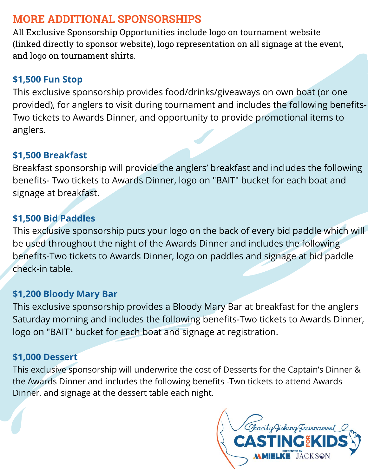## **MORE ADDITIONAL SPONSORSHIPS**

All Exclusive Sponsorship Opportunities include logo on tournament website (linked directly to sponsor website), logo representation on all signage at the event, and logo on tournament shirts.

## **\$1,500 Fun Stop**

This exclusive sponsorship provides food/drinks/giveaways on own boat (or one provided), for anglers to visit during tournament and includes the following benefits-Two tickets to Awards Dinner, and opportunity to provide promotional items to anglers.

### **\$1,500 Breakfast**

Breakfast sponsorship will provide the anglers' breakfast and includes the following benefits- Two tickets to Awards Dinner, logo on "BAIT" bucket for each boat and signage at breakfast.

## **\$1,500 Bid Paddles**

This exclusive sponsorship puts your logo on the back of every bid paddle which will be used throughout the night of the Awards Dinner and includes the following benefits-Two tickets to Awards Dinner, logo on paddles and signage at bid paddle check-in table.

### **\$1,200 Bloody Mary Bar**

This exclusive sponsorship provides a Bloody Mary Bar at breakfast for the anglers Saturday morning and includes the following benefits-Two tickets to Awards Dinner, logo on "BAIT" bucket for each boat and signage at registration.

## **\$1,000 Dessert**

This exclusive sponsorship will underwrite the cost of Desserts for the Captain's Dinner & the Awards Dinner and includes the following benefits -Two tickets to attend Awards Dinner, and signage at the dessert table each night.

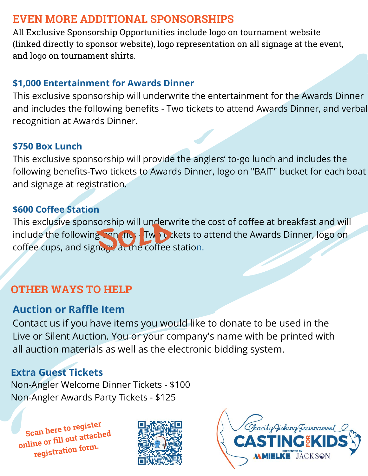## **EVEN MORE ADDITIONAL SPONSORSHIPS**

All Exclusive Sponsorship Opportunities include logo on tournament website (linked directly to sponsor website), logo representation on all signage at the event, and logo on tournament shirts.

## **\$1,000 Entertainment for Awards Dinner**

This exclusive sponsorship will underwrite the entertainment for the Awards Dinner and includes the following benefits - Two tickets to attend Awards Dinner, and verbal recognition at Awards Dinner.

#### **\$750 Box Lunch**

This exclusive sponsorship will provide the anglers' to-go lunch and includes the following benefits-Two tickets to Awards Dinner, logo on "BAIT" bucket for each boat and signage at registration.

#### **\$600 Coffee Station**

This exclusive sponsorship will underwrite the cost of coffee at breakfast and will include the following penaltical Two tickets to attend the Awards Dinner, logo on coffee cups, and signage at the coffee station. Sorship will underwise<br>Sorship Tube Twinter<br>Dage at the coffee

# **OTHER WAYS TO HELP**

## **Auction or Raffle Item**

Contact us if you have items you would like to donate to be used in the Live or Silent Auction. You or your company's name with be printed with all auction materials as well as the electronic bidding system.

# **Extra Guest Tickets**

Non-Angler Welcome Dinner Tickets - \$100 Non-Angler Awards Party Tickets - \$125

**Scan here to register online or fill out attached registration form.**



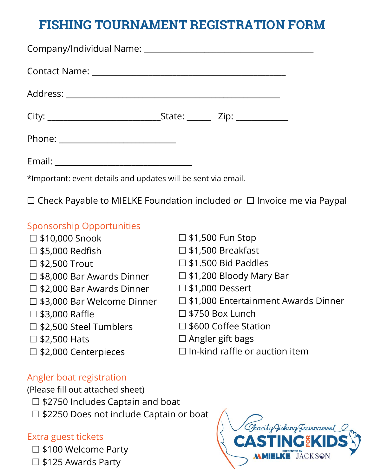# **FISHING TOURNAMENT REGISTRATION FORM**

| Phone: ______________________________ |  |
|---------------------------------------|--|
|                                       |  |

\*Important: event details and updates will be sent via email.

☐ Check Payable to MIELKE Foundation included *or* ☐ Invoice me via Paypal

#### Sponsorship Opportunities

- ☐ \$10,000 Snook
- ☐ \$5,000 Redfish
- ☐ \$2,500 Trout
- ☐ \$8,000 Bar Awards Dinner
- ☐ \$2,000 Bar Awards Dinner
- ☐ \$3,000 Bar Welcome Dinner
- □ \$3,000 Raffle
- ☐ \$2,500 Steel Tumblers
- $\square$  \$2,500 Hats
- ☐ \$2,000 Centerpieces
- □ \$1,500 Fun Stop
- ☐ \$1,500 Breakfast
- ☐ \$1.500 Bid Paddles
- ☐ \$1,200 Bloody Mary Bar
- ☐ \$1,000 Dessert
- ☐ \$1,000 Entertainment Awards Dinner
- $\square$  \$750 Box Lunch
- ☐ \$600 Coffee Station
- $\Box$  Angler gift bags
- $\Box$  In-kind raffle or auction item

#### Angler boat registration

(Please fill out attached sheet)

- ☐ \$2750 Includes Captain and boat
- ☐ \$2250 Does not include Captain or boat

#### Extra guest tickets

- ☐ \$100 Welcome Party
- ☐ \$125 Awards Party